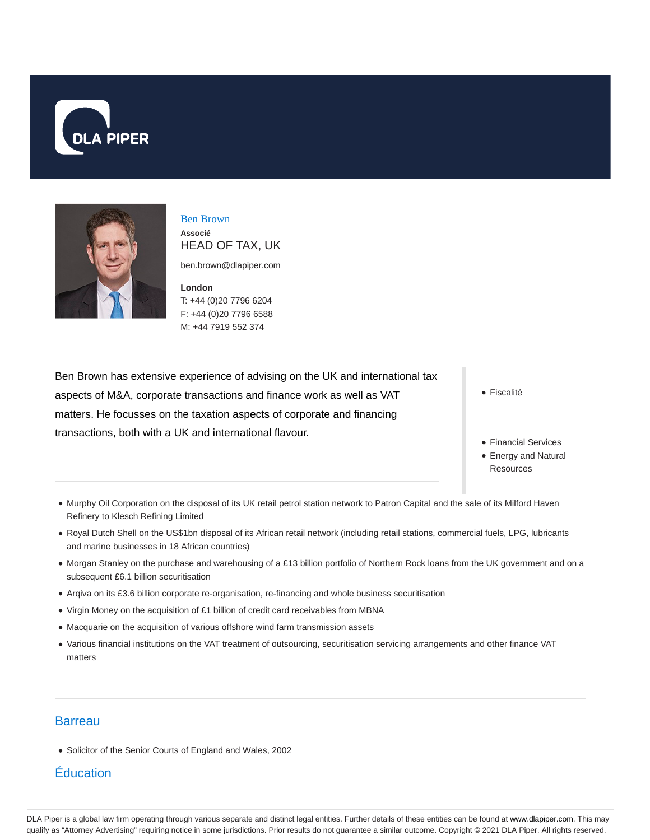



Ben Brown **Associé** HEAD OF TAX, UK

ben.brown@dlapiper.com

**London** T: +44 (0)20 7796 6204 F: +44 (0)20 7796 6588 M: +44 7919 552 374

Ben Brown has extensive experience of advising on the UK and international tax aspects of M&A, corporate transactions and finance work as well as VAT matters. He focusses on the taxation aspects of corporate and financing transactions, both with a UK and international flavour.

• Fiscalité

- Financial Services
- Energy and Natural **Resources**
- Murphy Oil Corporation on the disposal of its UK retail petrol station network to Patron Capital and the sale of its Milford Haven Refinery to Klesch Refining Limited
- Royal Dutch Shell on the US\$1bn disposal of its African retail network (including retail stations, commercial fuels, LPG, lubricants and marine businesses in 18 African countries)
- Morgan Stanley on the purchase and warehousing of a £13 billion portfolio of Northern Rock loans from the UK government and on a subsequent £6.1 billion securitisation
- Arqiva on its £3.6 billion corporate re-organisation, re-financing and whole business securitisation
- Virgin Money on the acquisition of £1 billion of credit card receivables from MBNA
- Macquarie on the acquisition of various offshore wind farm transmission assets
- Various financial institutions on the VAT treatment of outsourcing, securitisation servicing arrangements and other finance VAT matters

## **Barreau**

Solicitor of the Senior Courts of England and Wales, 2002

# Éducation

DLA Piper is a global law firm operating through various separate and distinct legal entities. Further details of these entities can be found at www.dlapiper.com. This may qualify as "Attorney Advertising" requiring notice in some jurisdictions. Prior results do not guarantee a similar outcome. Copyright © 2021 DLA Piper. All rights reserved.